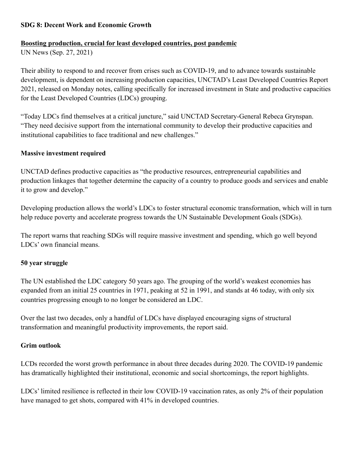### **SDG 8: Decent Work and Economic Growth**

#### **Boosting production, crucial for least developed countries, post pandemic**

UN News (Sep. 27, 2021)

Their ability to respond to and recover from crises such as COVID-19, and to advance towards sustainable development, is dependent on increasing production capacities, UNCTAD's Least Developed Countries Report 2021, released on Monday notes, calling specifically for increased investment in State and productive capacities for the Least Developed Countries (LDCs) grouping.

"Today LDCs find themselves at a critical juncture," said UNCTAD Secretary-General Rebeca Grynspan. "They need decisive support from the international community to develop their productive capacities and institutional capabilities to face traditional and new challenges."

#### **Massive investment required**

UNCTAD defines productive capacities as "the productive resources, entrepreneurial capabilities and production linkages that together determine the capacity of a country to produce goods and services and enable it to grow and develop."

Developing production allows the world's LDCs to foster structural economic transformation, which will in turn help reduce poverty and accelerate progress towards the UN Sustainable Development Goals (SDGs).

The report warns that reaching SDGs will require massive investment and spending, which go well beyond LDCs' own financial means.

#### **50 year struggle**

The UN established the LDC category 50 years ago. The grouping of the world's weakest economies has expanded from an initial 25 countries in 1971, peaking at 52 in 1991, and stands at 46 today, with only six countries progressing enough to no longer be considered an LDC.

Over the last two decades, only a handful of LDCs have displayed encouraging signs of structural transformation and meaningful productivity improvements, the report said.

#### **Grim outlook**

LCDs recorded the worst growth performance in about three decades during 2020. The COVID-19 pandemic has dramatically highlighted their institutional, economic and social shortcomings, the report highlights.

LDCs' limited resilience is reflected in their low COVID-19 vaccination rates, as only 2% of their population have managed to get shots, compared with 41% in developed countries.